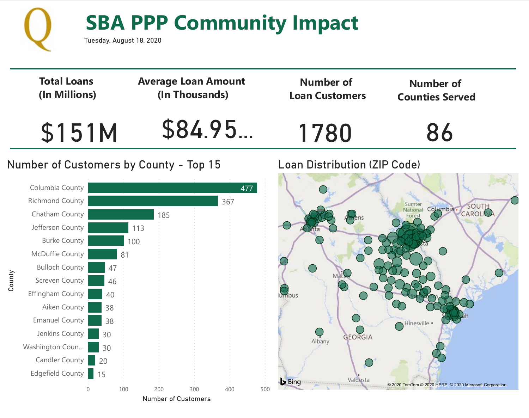

# **COMMUNITY** SBA PPP Community Impact

Tuesday, August 18, 2020

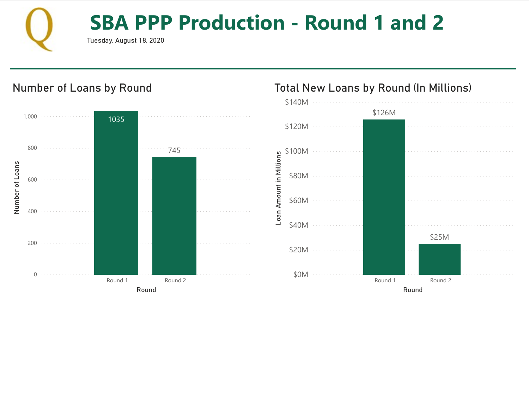

# 8/19/2020 PPP Loan Production **SBA PPP Production - Round 1 and 2**

Tuesday, August 18, 2020



Number of Loans by Round

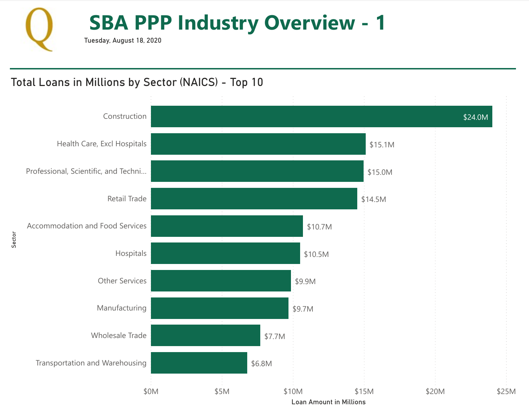

#### Total Loans in Millions by Sector (NAICS) - Top 10

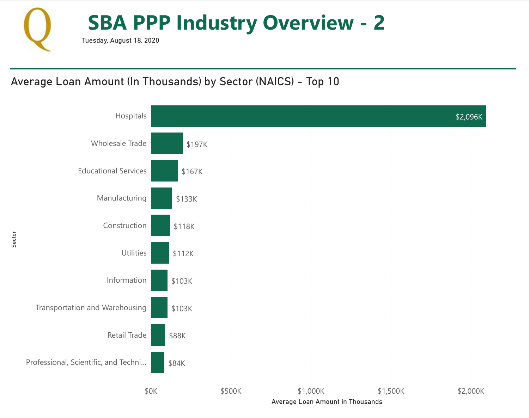

## Average Loan Amount (In Thousands) by Sector (NAICS) - Top 10